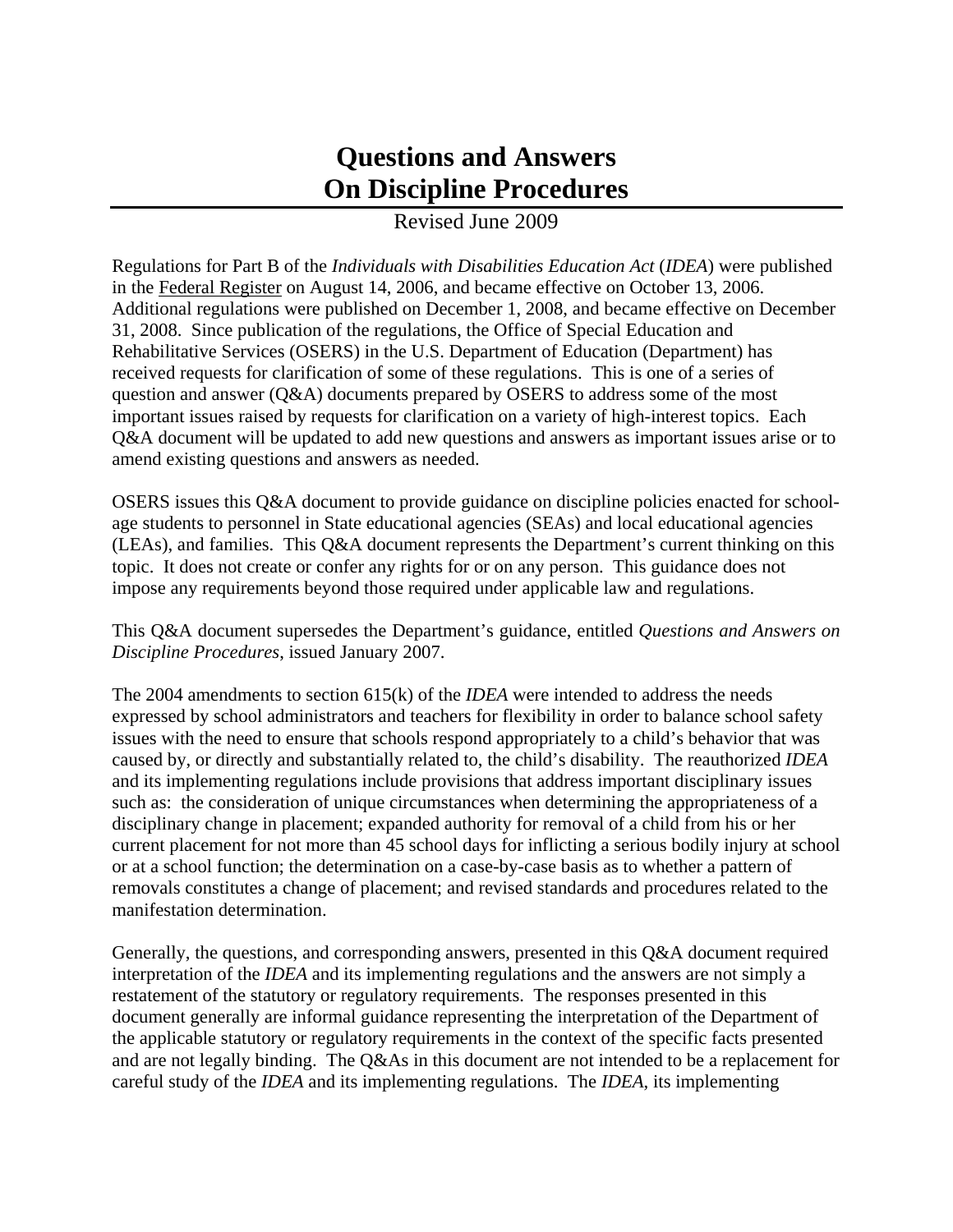# **Questions and Answers On Discipline Procedures**

### Revised June 2009

Regulations for Part B of the *Individuals with Disabilities Education Act* (*IDEA*) were published in the Federal Register on August 14, 2006, and became effective on October 13, 2006. Additional regulations were published on December 1, 2008, and became effective on December 31, 2008. Since publication of the regulations, the Office of Special Education and Rehabilitative Services (OSERS) in the U.S. Department of Education (Department) has received requests for clarification of some of these regulations. This is one of a series of question and answer (Q&A) documents prepared by OSERS to address some of the most important issues raised by requests for clarification on a variety of high-interest topics. Each Q&A document will be updated to add new questions and answers as important issues arise or to amend existing questions and answers as needed.

OSERS issues this Q&A document to provide guidance on discipline policies enacted for schoolage students to personnel in State educational agencies (SEAs) and local educational agencies (LEAs), and families. This Q&A document represents the Department's current thinking on this topic. It does not create or confer any rights for or on any person. This guidance does not impose any requirements beyond those required under applicable law and regulations.

This Q&A document supersedes the Department's guidance, entitled *Questions and Answers on Discipline Procedures*, issued January 2007.

The 2004 amendments to section 615(k) of the *IDEA* were intended to address the needs expressed by school administrators and teachers for flexibility in order to balance school safety issues with the need to ensure that schools respond appropriately to a child's behavior that was caused by, or directly and substantially related to, the child's disability. The reauthorized *IDEA* and its implementing regulations include provisions that address important disciplinary issues such as: the consideration of unique circumstances when determining the appropriateness of a disciplinary change in placement; expanded authority for removal of a child from his or her current placement for not more than 45 school days for inflicting a serious bodily injury at school or at a school function; the determination on a case-by-case basis as to whether a pattern of removals constitutes a change of placement; and revised standards and procedures related to the manifestation determination.

Generally, the questions, and corresponding answers, presented in this Q&A document required interpretation of the *IDEA* and its implementing regulations and the answers are not simply a restatement of the statutory or regulatory requirements. The responses presented in this document generally are informal guidance representing the interpretation of the Department of the applicable statutory or regulatory requirements in the context of the specific facts presented and are not legally binding. The Q&As in this document are not intended to be a replacement for careful study of the *IDEA* and its implementing regulations. The *IDEA*, its implementing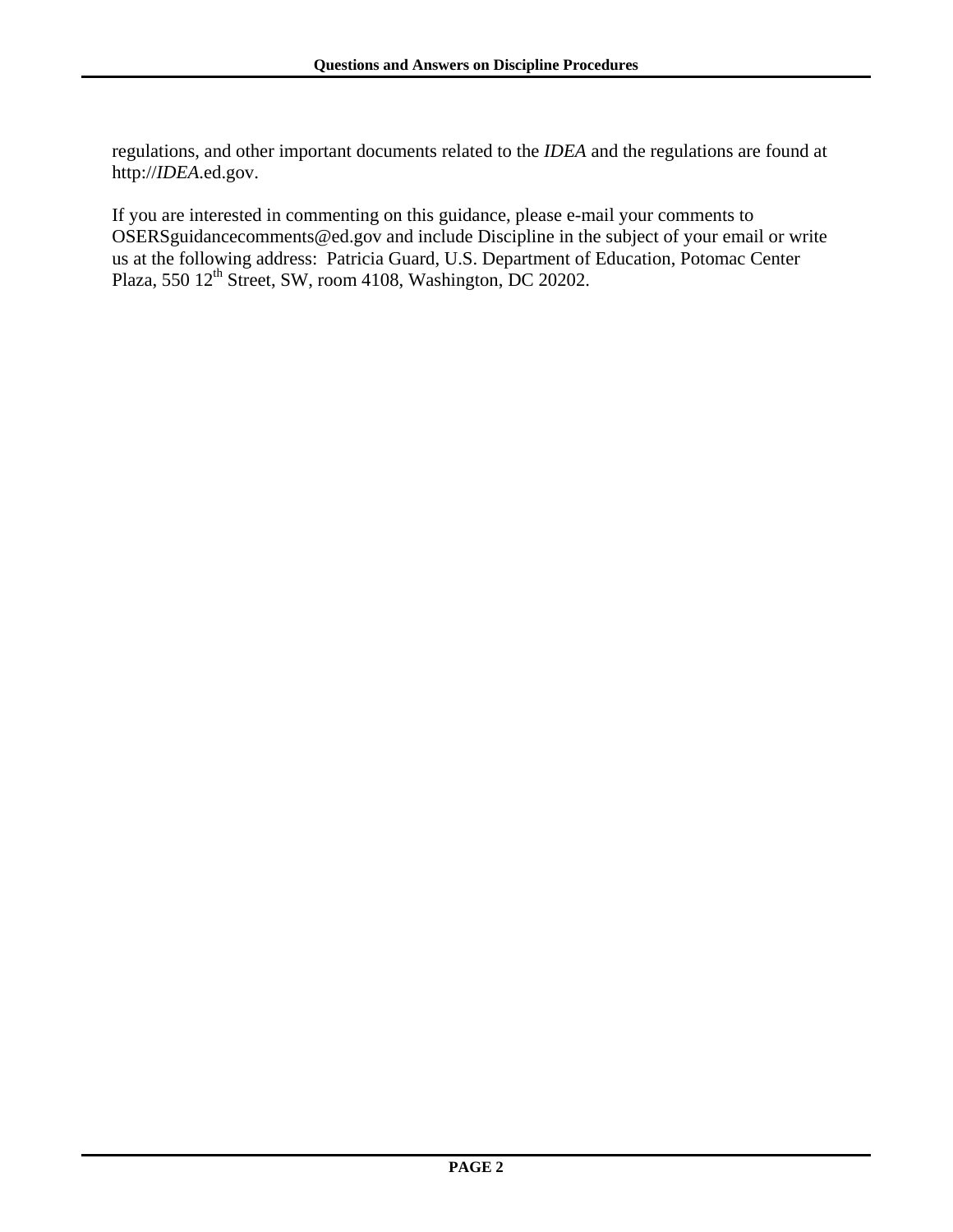regulations, and other important documents related to the *IDEA* and the regulations are found at http://*IDEA*.ed.gov.

If you are interested in commenting on this guidance, please e-mail your comments to [OSERSguidancecomments@ed.gov](mailto:OSERSguidancecomments@ed.gov) and include Discipline in the subject of your email or write us at the following address: Patricia Guard, U.S. Department of Education, Potomac Center Plaza, 550 12<sup>th</sup> Street, SW, room 4108, Washington, DC 20202.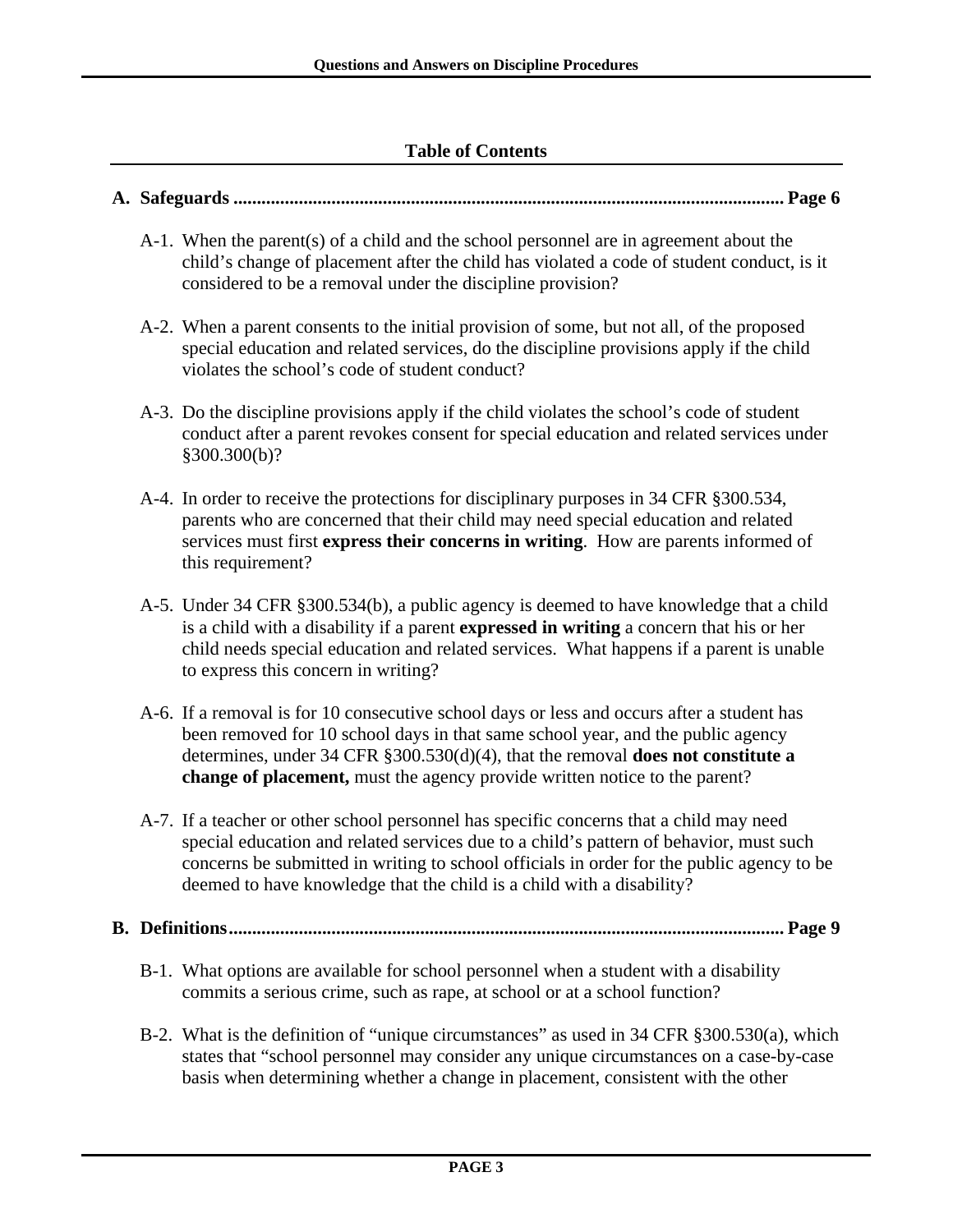### **Table of Contents**

#### **A. Safeguards ...................................................................................................................... Page 6**

- A-1. When the parent(s) of a child and the school personnel are in agreement about the child's change of placement after the child has violated a code of student conduct, is it considered to be a removal under the discipline provision?
- A-2. When a parent consents to the initial provision of some, but not all, of the proposed special education and related services, do the discipline provisions apply if the child violates the school's code of student conduct?
- A-3. Do the discipline provisions apply if the child violates the school's code of student conduct after a parent revokes consent for special education and related services under §300.300(b)?
- A-4. In order to receive the protections for disciplinary purposes in 34 CFR §300.534, parents who are concerned that their child may need special education and related services must first **express their concerns in writing**. How are parents informed of this requirement?
- A-5. Under 34 CFR §300.534(b), a public agency is deemed to have knowledge that a child is a child with a disability if a parent **expressed in writing** a concern that his or her child needs special education and related services. What happens if a parent is unable to express this concern in writing?
- A-6. If a removal is for 10 consecutive school days or less and occurs after a student has been removed for 10 school days in that same school year, and the public agency determines, under 34 CFR §300.530(d)(4), that the removal **does not constitute a change of placement,** must the agency provide written notice to the parent?
- A-7. If a teacher or other school personnel has specific concerns that a child may need special education and related services due to a child's pattern of behavior, must such concerns be submitted in writing to school officials in order for the public agency to be deemed to have knowledge that the child is a child with a disability?
- **B. Definitions....................................................................................................................... Page 9** 
	- B-1. What options are available for school personnel when a student with a disability commits a serious crime, such as rape, at school or at a school function?
	- B-2. What is the definition of "unique circumstances" as used in 34 CFR §300.530(a), which states that "school personnel may consider any unique circumstances on a case-by-case basis when determining whether a change in placement, consistent with the other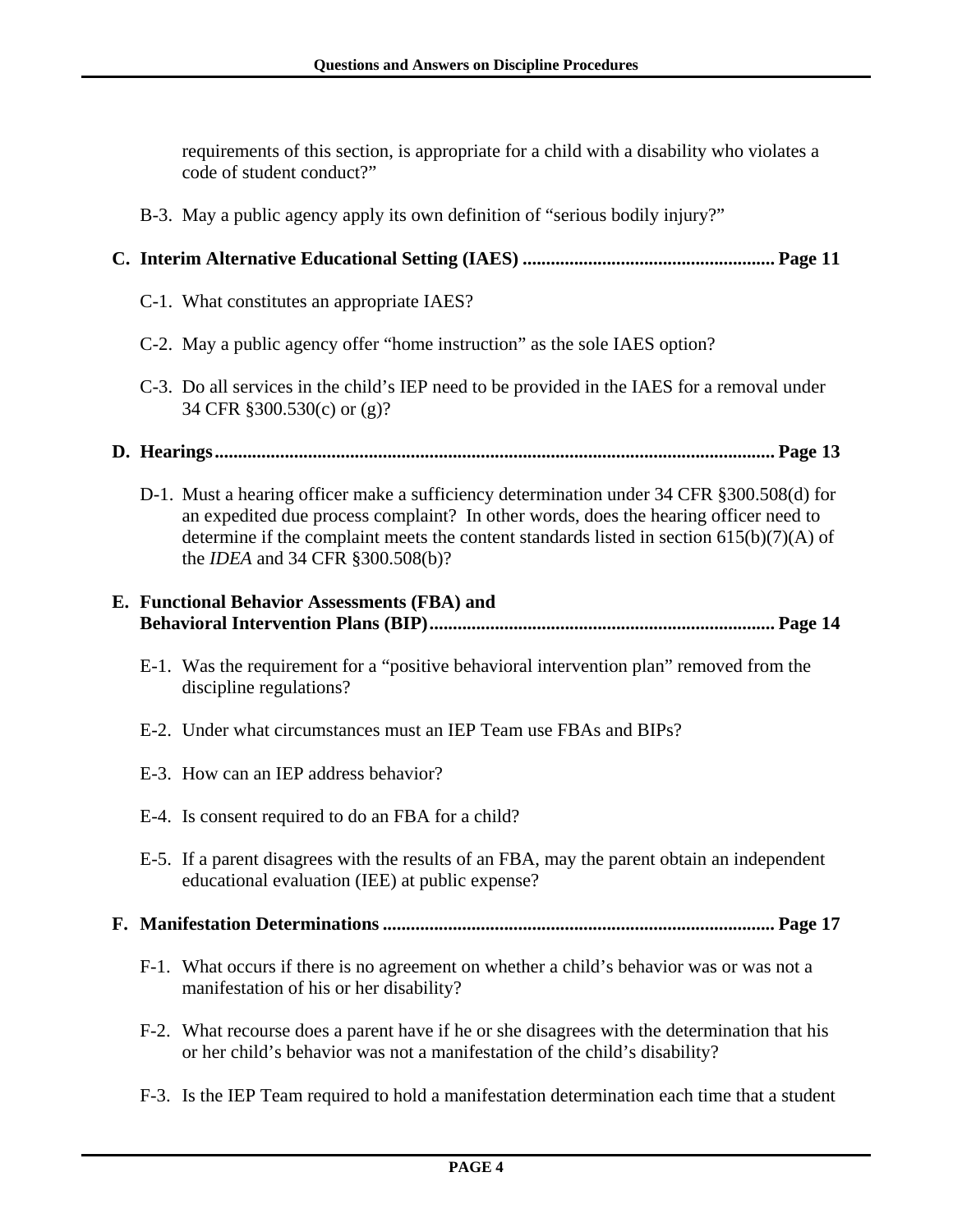requirements of this section, is appropriate for a child with a disability who violates a code of student conduct?"

B-3. May a public agency apply its own definition of "serious bodily injury?"

### **C. Interim Alternative Educational Setting (IAES) ...................................................... Page 11**

- C-1. What constitutes an appropriate IAES?
- C-2. May a public agency offer "home instruction" as the sole IAES option?
- C-3. Do all services in the child's IEP need to be provided in the IAES for a removal under 34 CFR §300.530(c) or (g)?
- **D. Hearings........................................................................................................................ Page 13** 
	- D-1. Must a hearing officer make a sufficiency determination under 34 CFR §300.508(d) for an expedited due process complaint? In other words, does the hearing officer need to determine if the complaint meets the content standards listed in section 615(b)(7)(A) of the *IDEA* and 34 CFR §300.508(b)?

### **E. Functional Behavior Assessments (FBA) and Behavioral Intervention Plans (BIP).......................................................................... Page 14**

- E-1. Was the requirement for a "positive behavioral intervention plan" removed from the discipline regulations?
- E-2. Under what circumstances must an IEP Team use FBAs and BIPs?
- E-3. How can an IEP address behavior?
- E-4. Is consent required to do an FBA for a child?
- E-5. If a parent disagrees with the results of an FBA, may the parent obtain an independent educational evaluation (IEE) at public expense?
- **F. Manifestation Determinations .................................................................................... Page 17** 
	- F-1. What occurs if there is no agreement on whether a child's behavior was or was not a manifestation of his or her disability?
	- F-2. What recourse does a parent have if he or she disagrees with the determination that his or her child's behavior was not a manifestation of the child's disability?
	- F-3. Is the IEP Team required to hold a manifestation determination each time that a student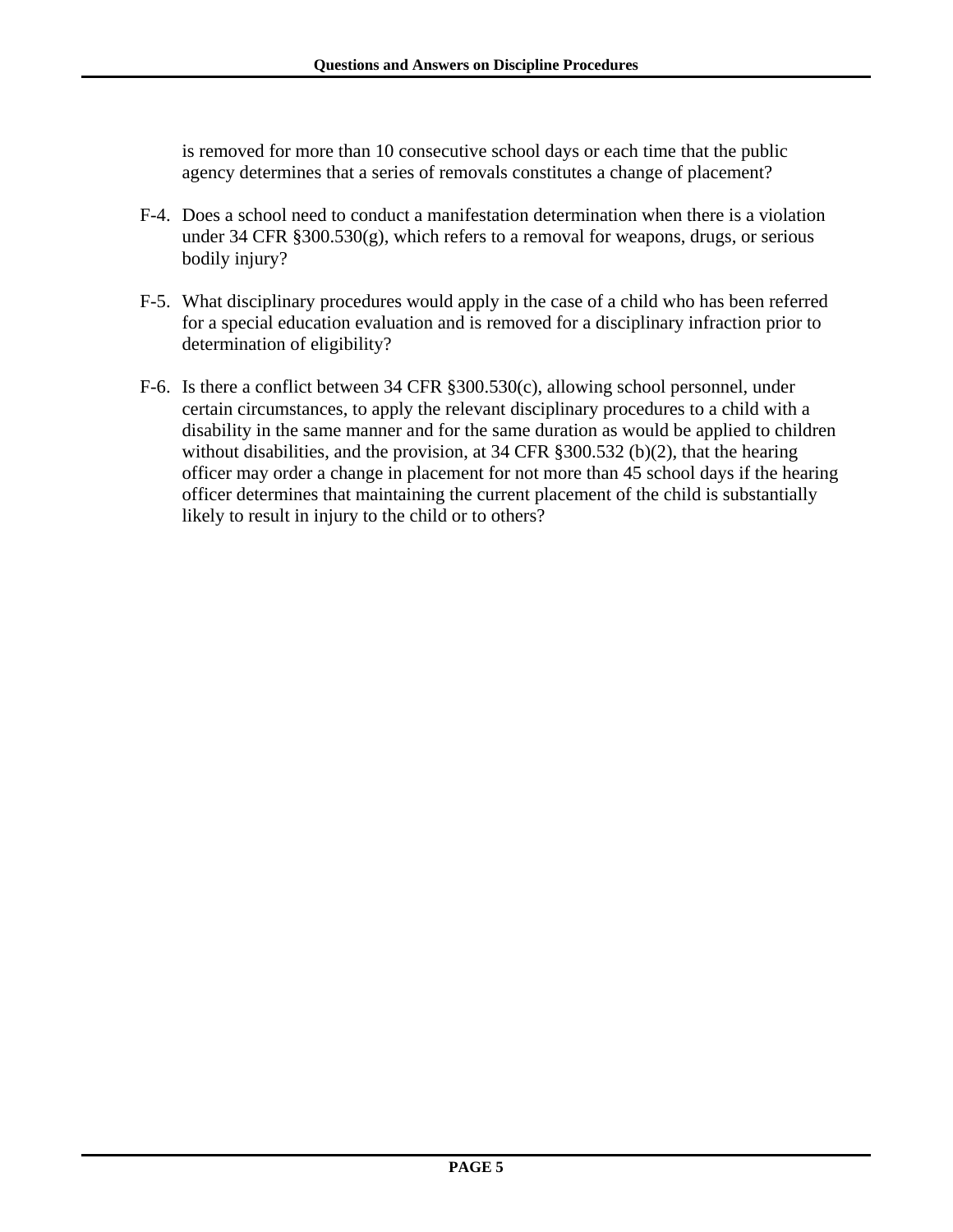is removed for more than 10 consecutive school days or each time that the public agency determines that a series of removals constitutes a change of placement?

- F-4. Does a school need to conduct a manifestation determination when there is a violation under 34 CFR §300.530(g), which refers to a removal for weapons, drugs, or serious bodily injury?
- F-5. What disciplinary procedures would apply in the case of a child who has been referred for a special education evaluation and is removed for a disciplinary infraction prior to determination of eligibility?
- F-6. Is there a conflict between 34 CFR §300.530(c), allowing school personnel, under certain circumstances, to apply the relevant disciplinary procedures to a child with a disability in the same manner and for the same duration as would be applied to children without disabilities, and the provision, at 34 CFR §300.532 (b)(2), that the hearing officer may order a change in placement for not more than 45 school days if the hearing officer determines that maintaining the current placement of the child is substantially likely to result in injury to the child or to others?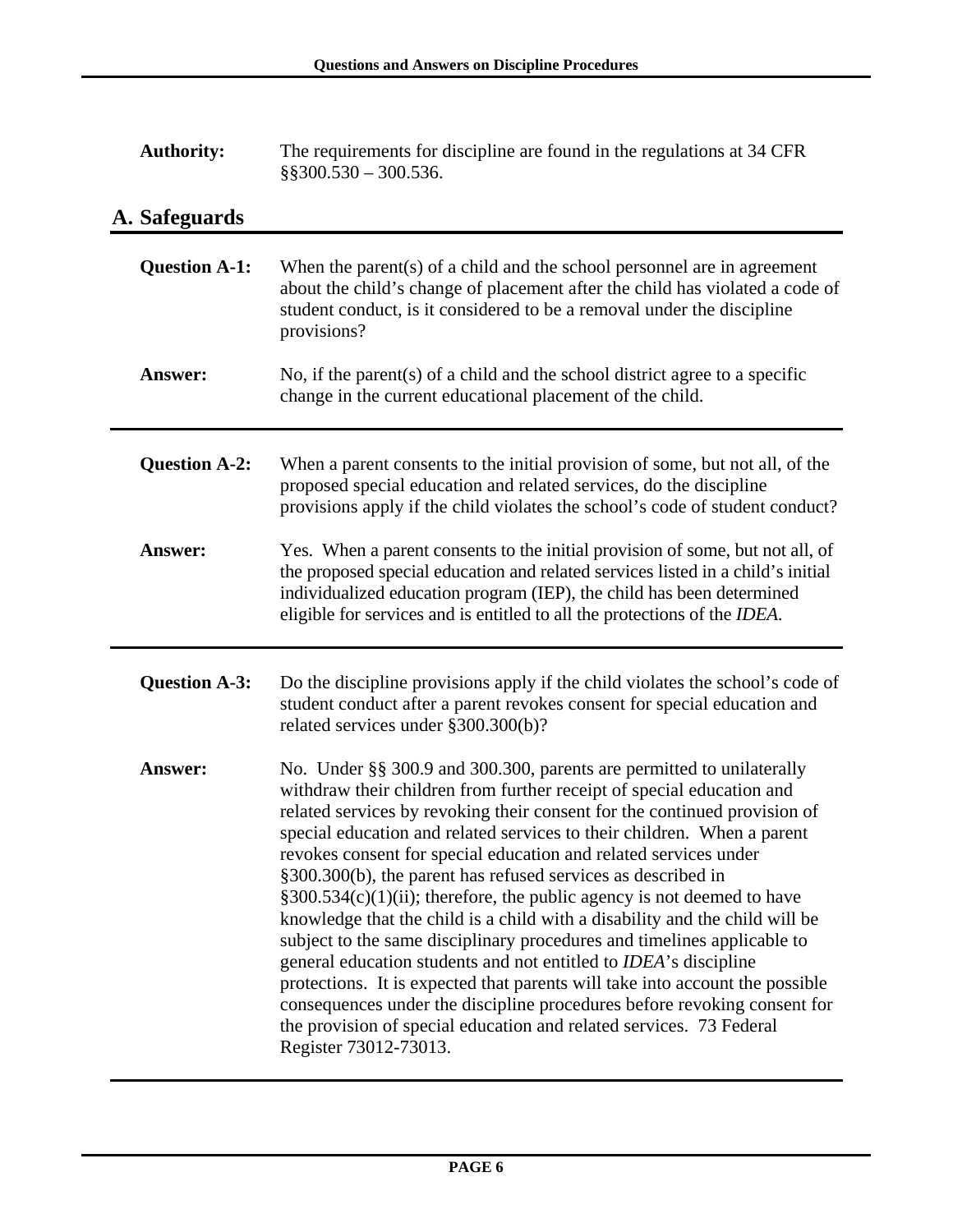| <b>Authority:</b> | The requirements for discipline are found in the regulations at 34 CFR |
|-------------------|------------------------------------------------------------------------|
|                   | $\S$ \$300.530 - 300.536.                                              |

# **A. Safeguards**

| <b>Question A-1:</b> | When the parent(s) of a child and the school personnel are in agreement<br>about the child's change of placement after the child has violated a code of<br>student conduct, is it considered to be a removal under the discipline<br>provisions?                                                                                                                                                                                                                                                                                                                                                                                                                                                                                                                                                                                                                                                                                                                                                                    |
|----------------------|---------------------------------------------------------------------------------------------------------------------------------------------------------------------------------------------------------------------------------------------------------------------------------------------------------------------------------------------------------------------------------------------------------------------------------------------------------------------------------------------------------------------------------------------------------------------------------------------------------------------------------------------------------------------------------------------------------------------------------------------------------------------------------------------------------------------------------------------------------------------------------------------------------------------------------------------------------------------------------------------------------------------|
| Answer:              | No, if the parent(s) of a child and the school district agree to a specific<br>change in the current educational placement of the child.                                                                                                                                                                                                                                                                                                                                                                                                                                                                                                                                                                                                                                                                                                                                                                                                                                                                            |
| <b>Question A-2:</b> | When a parent consents to the initial provision of some, but not all, of the<br>proposed special education and related services, do the discipline<br>provisions apply if the child violates the school's code of student conduct?                                                                                                                                                                                                                                                                                                                                                                                                                                                                                                                                                                                                                                                                                                                                                                                  |
| <b>Answer:</b>       | Yes. When a parent consents to the initial provision of some, but not all, of<br>the proposed special education and related services listed in a child's initial<br>individualized education program (IEP), the child has been determined<br>eligible for services and is entitled to all the protections of the <i>IDEA</i> .                                                                                                                                                                                                                                                                                                                                                                                                                                                                                                                                                                                                                                                                                      |
| <b>Question A-3:</b> | Do the discipline provisions apply if the child violates the school's code of<br>student conduct after a parent revokes consent for special education and<br>related services under §300.300(b)?                                                                                                                                                                                                                                                                                                                                                                                                                                                                                                                                                                                                                                                                                                                                                                                                                    |
| Answer:              | No. Under §§ 300.9 and 300.300, parents are permitted to unilaterally<br>withdraw their children from further receipt of special education and<br>related services by revoking their consent for the continued provision of<br>special education and related services to their children. When a parent<br>revokes consent for special education and related services under<br>§300.300(b), the parent has refused services as described in<br>$\S 300.534(c)(1)(ii)$ ; therefore, the public agency is not deemed to have<br>knowledge that the child is a child with a disability and the child will be<br>subject to the same disciplinary procedures and timelines applicable to<br>general education students and not entitled to IDEA's discipline<br>protections. It is expected that parents will take into account the possible<br>consequences under the discipline procedures before revoking consent for<br>the provision of special education and related services. 73 Federal<br>Register 73012-73013. |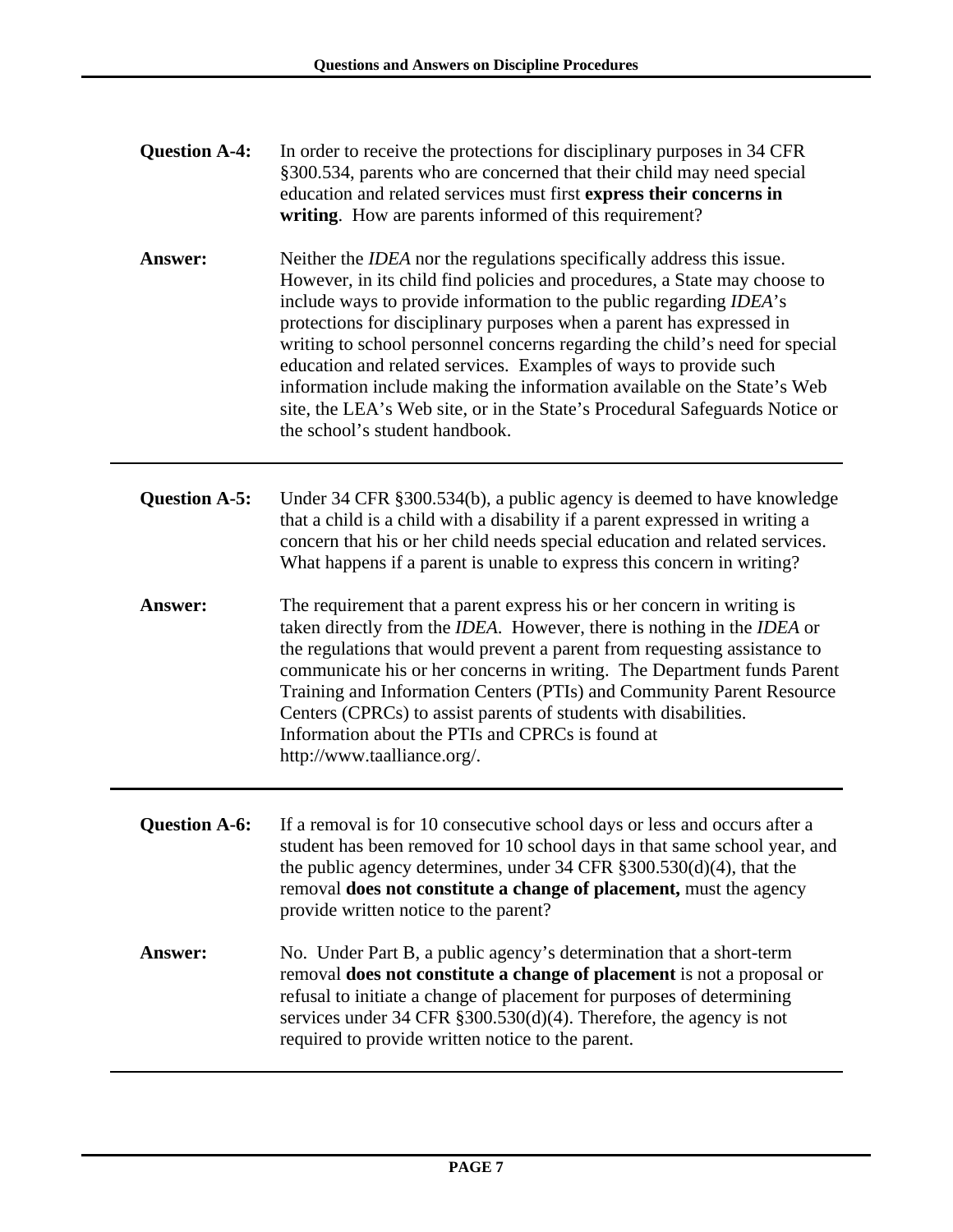| <b>Question A-4:</b> | In order to receive the protections for disciplinary purposes in 34 CFR<br>§300.534, parents who are concerned that their child may need special<br>education and related services must first express their concerns in<br>writing. How are parents informed of this requirement?                                                                                                                                                                                                                                                                                                                                                                      |
|----------------------|--------------------------------------------------------------------------------------------------------------------------------------------------------------------------------------------------------------------------------------------------------------------------------------------------------------------------------------------------------------------------------------------------------------------------------------------------------------------------------------------------------------------------------------------------------------------------------------------------------------------------------------------------------|
| Answer:              | Neither the <i>IDEA</i> nor the regulations specifically address this issue.<br>However, in its child find policies and procedures, a State may choose to<br>include ways to provide information to the public regarding IDEA's<br>protections for disciplinary purposes when a parent has expressed in<br>writing to school personnel concerns regarding the child's need for special<br>education and related services. Examples of ways to provide such<br>information include making the information available on the State's Web<br>site, the LEA's Web site, or in the State's Procedural Safeguards Notice or<br>the school's student handbook. |
| <b>Question A-5:</b> | Under 34 CFR §300.534(b), a public agency is deemed to have knowledge<br>that a child is a child with a disability if a parent expressed in writing a<br>concern that his or her child needs special education and related services.<br>What happens if a parent is unable to express this concern in writing?                                                                                                                                                                                                                                                                                                                                         |
| Answer:              | The requirement that a parent express his or her concern in writing is<br>taken directly from the IDEA. However, there is nothing in the IDEA or<br>the regulations that would prevent a parent from requesting assistance to<br>communicate his or her concerns in writing. The Department funds Parent<br>Training and Information Centers (PTIs) and Community Parent Resource<br>Centers (CPRCs) to assist parents of students with disabilities.<br>Information about the PTIs and CPRCs is found at<br>http://www.taalliance.org/.                                                                                                               |
| <b>Question A-6:</b> | If a removal is for 10 consecutive school days or less and occurs after a<br>student has been removed for 10 school days in that same school year, and<br>the public agency determines, under 34 CFR $\S 300.530(d)(4)$ , that the<br>removal does not constitute a change of placement, must the agency<br>provide written notice to the parent?                                                                                                                                                                                                                                                                                                      |
| Answer:              | No. Under Part B, a public agency's determination that a short-term<br>removal does not constitute a change of placement is not a proposal or<br>refusal to initiate a change of placement for purposes of determining<br>services under 34 CFR $\S 300.530(d)(4)$ . Therefore, the agency is not<br>required to provide written notice to the parent.                                                                                                                                                                                                                                                                                                 |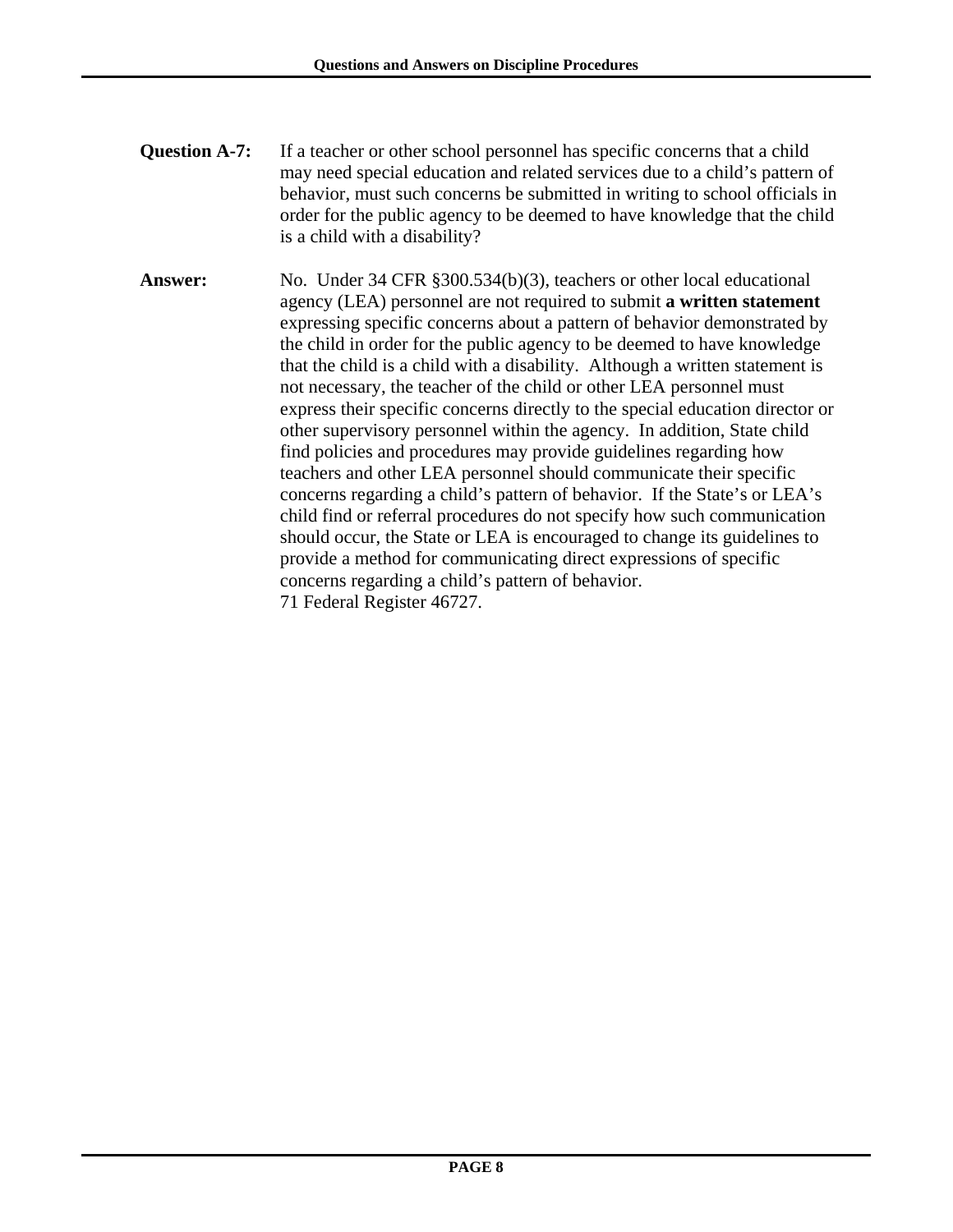- **Question A-7:** If a teacher or other school personnel has specific concerns that a child may need special education and related services due to a child's pattern of behavior, must such concerns be submitted in writing to school officials in order for the public agency to be deemed to have knowledge that the child is a child with a disability?
- **Answer:** No. Under 34 CFR §300.534(b)(3), teachers or other local educational agency (LEA) personnel are not required to submit **a written statement** expressing specific concerns about a pattern of behavior demonstrated by the child in order for the public agency to be deemed to have knowledge that the child is a child with a disability. Although a written statement is not necessary, the teacher of the child or other LEA personnel must express their specific concerns directly to the special education director or other supervisory personnel within the agency. In addition, State child find policies and procedures may provide guidelines regarding how teachers and other LEA personnel should communicate their specific concerns regarding a child's pattern of behavior. If the State's or LEA's child find or referral procedures do not specify how such communication should occur, the State or LEA is encouraged to change its guidelines to provide a method for communicating direct expressions of specific concerns regarding a child's pattern of behavior. 71 Federal Register 46727.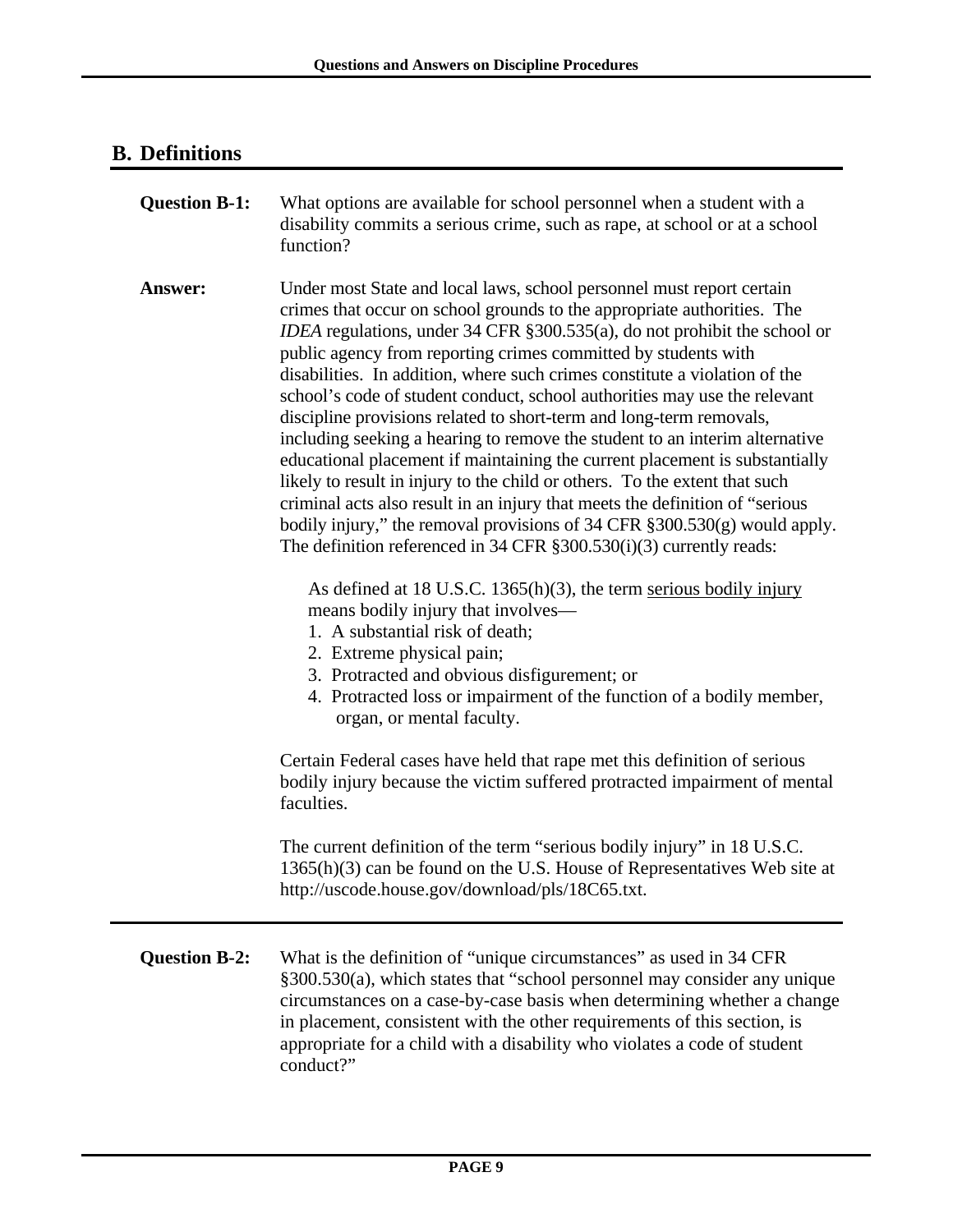### **B. Definitions**

| <b>Question B-1:</b> | What options are available for school personnel when a student with a<br>disability commits a serious crime, such as rape, at school or at a school<br>function?                                                                                                                                                                                                                                                                                                                                                                                                                                                                                                                                                                                                                                                                                                                                                                                                                                                          |
|----------------------|---------------------------------------------------------------------------------------------------------------------------------------------------------------------------------------------------------------------------------------------------------------------------------------------------------------------------------------------------------------------------------------------------------------------------------------------------------------------------------------------------------------------------------------------------------------------------------------------------------------------------------------------------------------------------------------------------------------------------------------------------------------------------------------------------------------------------------------------------------------------------------------------------------------------------------------------------------------------------------------------------------------------------|
| Answer:              | Under most State and local laws, school personnel must report certain<br>crimes that occur on school grounds to the appropriate authorities. The<br>IDEA regulations, under 34 CFR § 300.535(a), do not prohibit the school or<br>public agency from reporting crimes committed by students with<br>disabilities. In addition, where such crimes constitute a violation of the<br>school's code of student conduct, school authorities may use the relevant<br>discipline provisions related to short-term and long-term removals,<br>including seeking a hearing to remove the student to an interim alternative<br>educational placement if maintaining the current placement is substantially<br>likely to result in injury to the child or others. To the extent that such<br>criminal acts also result in an injury that meets the definition of "serious"<br>bodily injury," the removal provisions of $34$ CFR $\S 300.530(g)$ would apply.<br>The definition referenced in 34 CFR §300.530(i)(3) currently reads: |
|                      | As defined at 18 U.S.C. 1365 $(h)(3)$ , the term serious bodily injury<br>means bodily injury that involves—<br>1. A substantial risk of death;<br>2. Extreme physical pain;<br>3. Protracted and obvious disfigurement; or<br>4. Protracted loss or impairment of the function of a bodily member,<br>organ, or mental faculty.                                                                                                                                                                                                                                                                                                                                                                                                                                                                                                                                                                                                                                                                                          |
|                      | Certain Federal cases have held that rape met this definition of serious<br>bodily injury because the victim suffered protracted impairment of mental<br>faculties.                                                                                                                                                                                                                                                                                                                                                                                                                                                                                                                                                                                                                                                                                                                                                                                                                                                       |
|                      | The current definition of the term "serious bodily injury" in 18 U.S.C.<br>$1365(h)(3)$ can be found on the U.S. House of Representatives Web site at<br>http://uscode.house.gov/download/pls/18C65.txt.                                                                                                                                                                                                                                                                                                                                                                                                                                                                                                                                                                                                                                                                                                                                                                                                                  |
| <b>Question B-2:</b> | What is the definition of "unique circumstances" as used in 34 CFR<br>§300.530(a), which states that "school personnel may consider any unique<br>circumstances on a case-by-case basis when determining whether a change<br>in placement, consistent with the other requirements of this section, is<br>appropriate for a child with a disability who violates a code of student<br>conduct?"                                                                                                                                                                                                                                                                                                                                                                                                                                                                                                                                                                                                                            |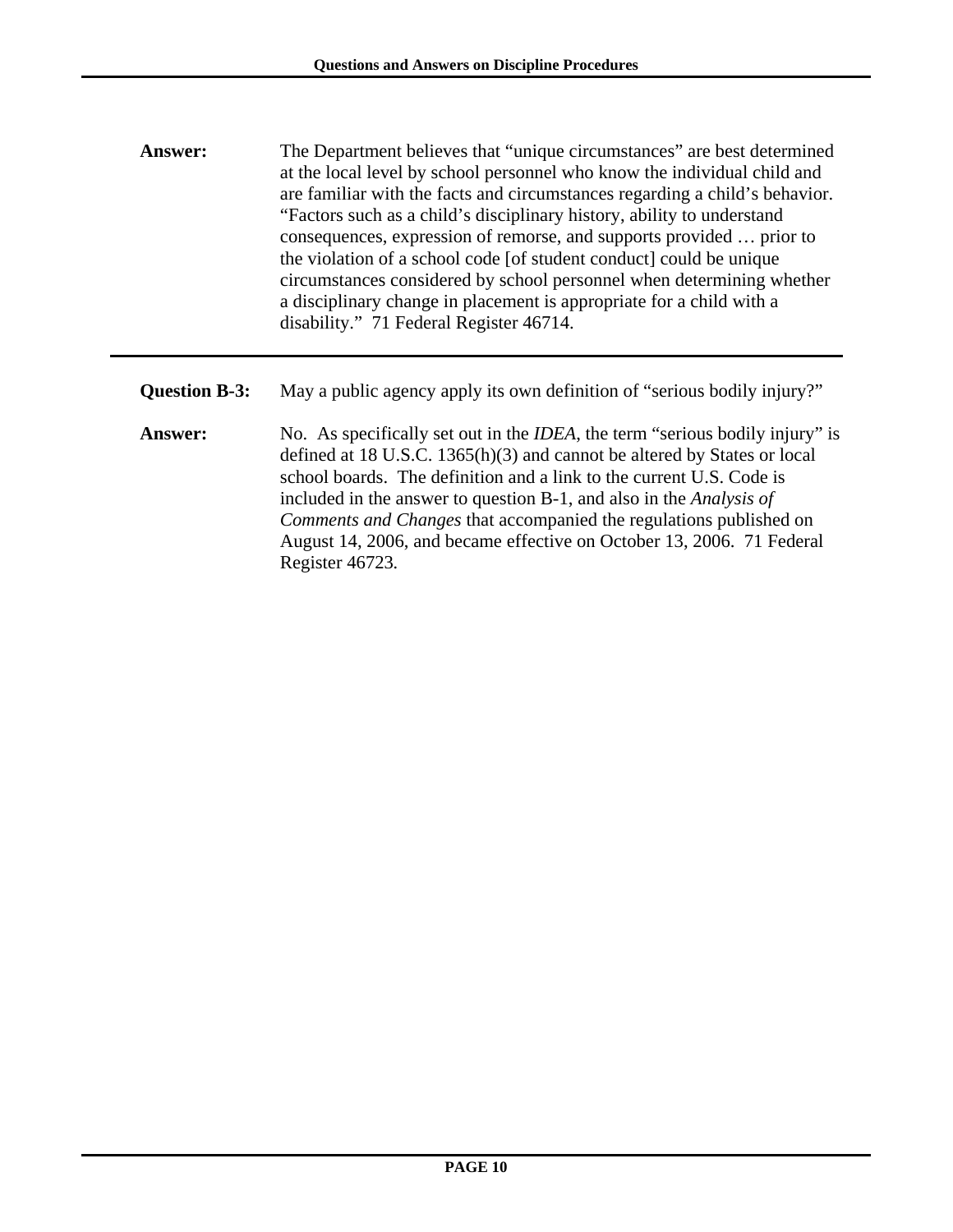- **Answer:** The Department believes that "unique circumstances" are best determined at the local level by school personnel who know the individual child and are familiar with the facts and circumstances regarding a child's behavior. "Factors such as a child's disciplinary history, ability to understand consequences, expression of remorse, and supports provided … prior to the violation of a school code [of student conduct] could be unique circumstances considered by school personnel when determining whether a disciplinary change in placement is appropriate for a child with a disability." 71 Federal Register 46714.
- **Question B-3:** May a public agency apply its own definition of "serious bodily injury?"
- **Answer:** No. As specifically set out in the *IDEA*, the term "serious bodily injury" is defined at 18 U.S.C. 1365(h)(3) and cannot be altered by States or local school boards. The definition and a link to the current U.S. Code is included in the answer to question B-1, and also in the *Analysis of Comments and Changes* that accompanied the regulations published on August 14, 2006, and became effective on October 13, 2006. 71 Federal Register 46723*.*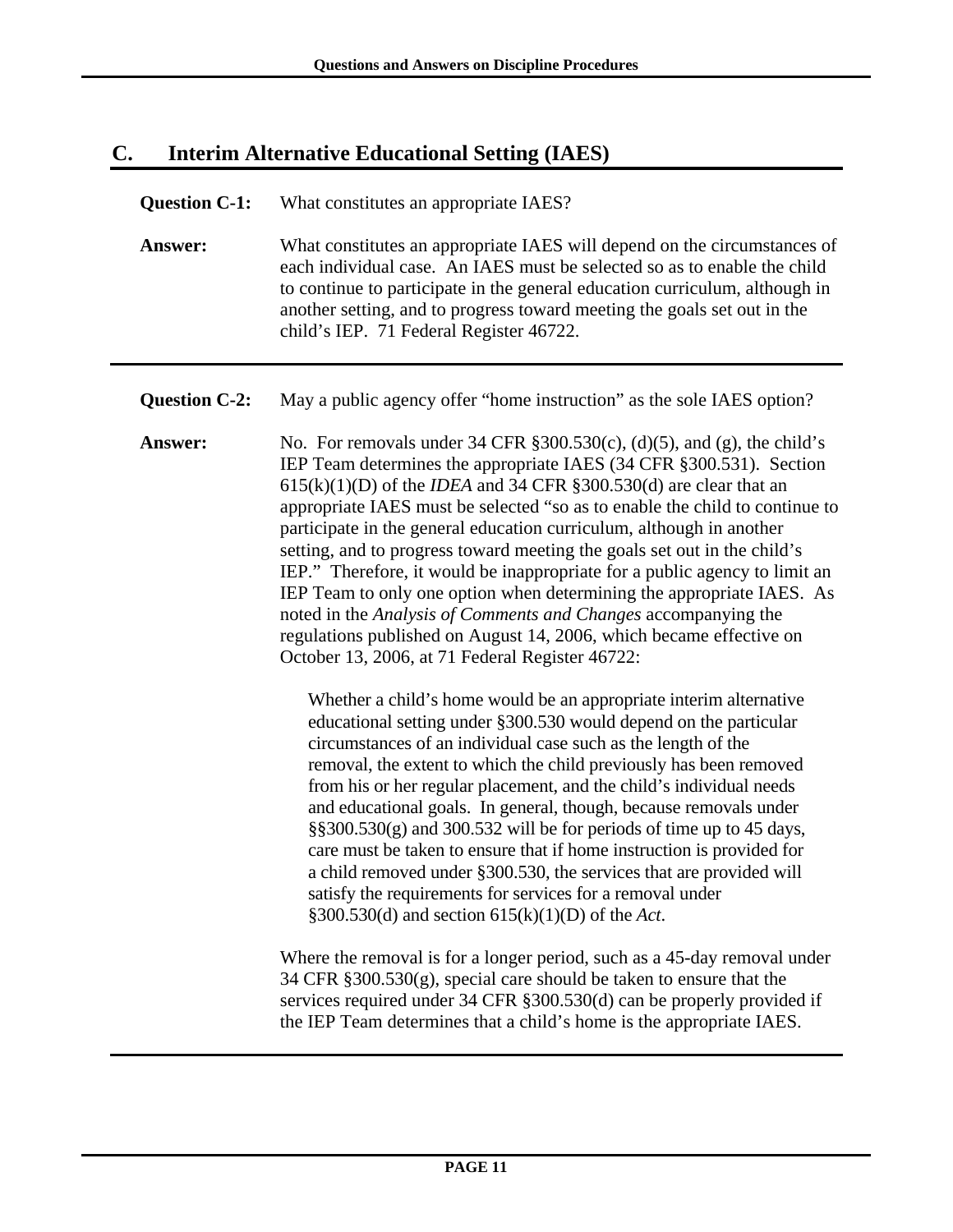### **C. Interim Alternative Educational Setting (IAES)**

#### **Question C-1:** What constitutes an appropriate IAES?

**Answer:** What constitutes an appropriate IAES will depend on the circumstances of each individual case. An IAES must be selected so as to enable the child to continue to participate in the general education curriculum, although in another setting, and to progress toward meeting the goals set out in the child's IEP. 71 Federal Register 46722.

**Question C-2:** May a public agency offer "home instruction" as the sole IAES option?

**Answer:** No. For removals under 34 CFR §300.530(c), (d)(5), and (g), the child's IEP Team determines the appropriate IAES (34 CFR §300.531). Section 615(k)(1)(D) of the *IDEA* and 34 CFR §300.530(d) are clear that an appropriate IAES must be selected "so as to enable the child to continue to participate in the general education curriculum, although in another setting, and to progress toward meeting the goals set out in the child's IEP." Therefore, it would be inappropriate for a public agency to limit an IEP Team to only one option when determining the appropriate IAES. As noted in the *Analysis of Comments and Changes* accompanying the regulations published on August 14, 2006, which became effective on October 13, 2006, at 71 Federal Register 46722:

> Whether a child's home would be an appropriate interim alternative educational setting under §300.530 would depend on the particular circumstances of an individual case such as the length of the removal, the extent to which the child previously has been removed from his or her regular placement, and the child's individual needs and educational goals. In general, though, because removals under §§300.530(g) and 300.532 will be for periods of time up to 45 days, care must be taken to ensure that if home instruction is provided for a child removed under §300.530, the services that are provided will satisfy the requirements for services for a removal under §300.530(d) and section 615(k)(1)(D) of the *Act*.

Where the removal is for a longer period, such as a 45-day removal under 34 CFR §300.530(g), special care should be taken to ensure that the services required under 34 CFR §300.530(d) can be properly provided if the IEP Team determines that a child's home is the appropriate IAES.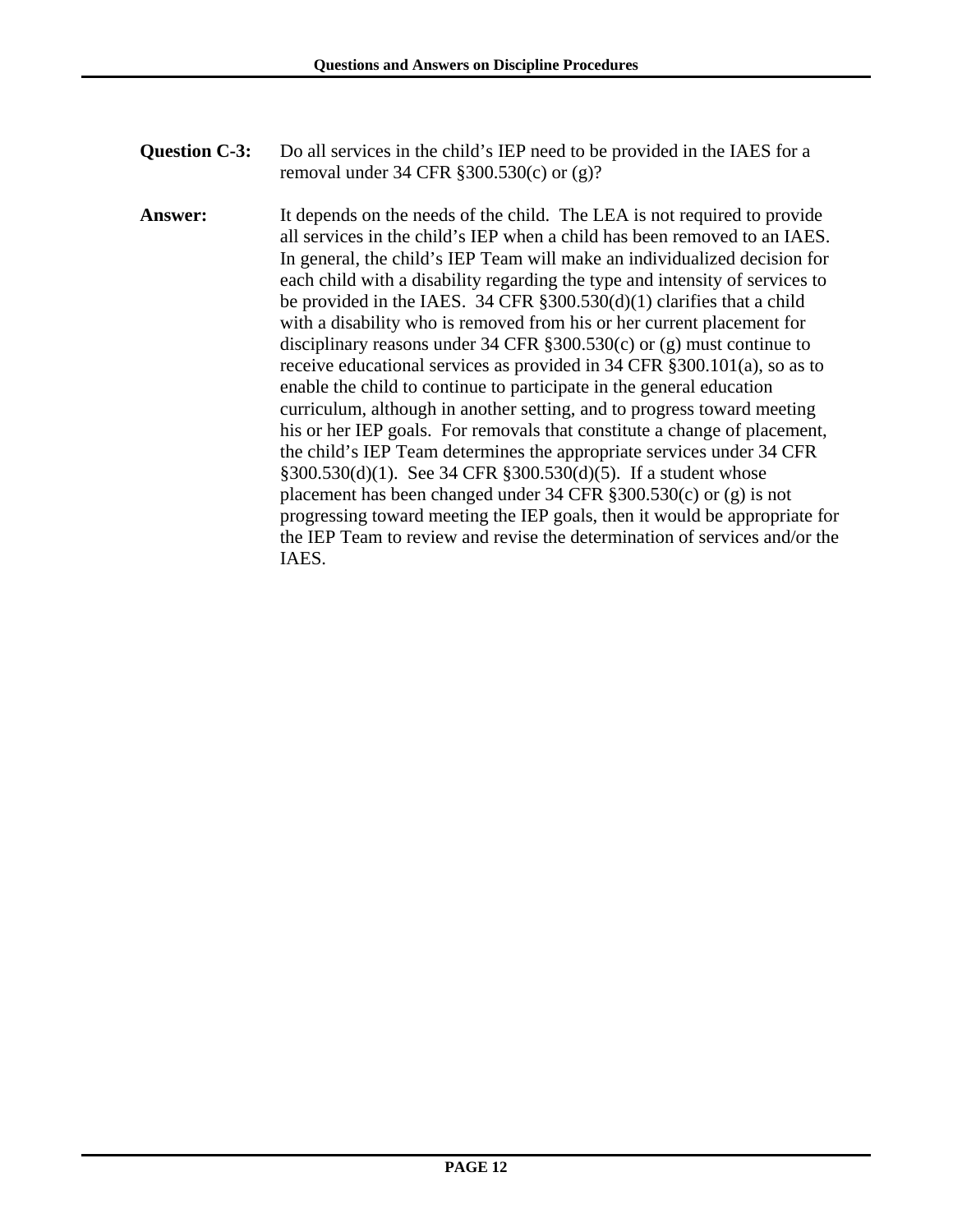- **Question C-3:** Do all services in the child's IEP need to be provided in the IAES for a removal under 34 CFR §300.530(c) or (g)?
- **Answer:** It depends on the needs of the child.The LEA is not required to provide all services in the child's IEP when a child has been removed to an IAES. In general, the child's IEP Team will make an individualized decision for each child with a disability regarding the type and intensity of services to be provided in the IAES. 34 CFR §300.530(d)(1) clarifies that a child with a disability who is removed from his or her current placement for disciplinary reasons under 34 CFR §300.530(c) or (g) must continue to receive educational services as provided in 34 CFR §300.101(a), so as to enable the child to continue to participate in the general education curriculum, although in another setting, and to progress toward meeting his or her IEP goals. For removals that constitute a change of placement, the child's IEP Team determines the appropriate services under 34 CFR §300.530(d)(1). See 34 CFR §300.530(d)(5). If a student whose placement has been changed under 34 CFR §300.530(c) or (g) is not progressing toward meeting the IEP goals, then it would be appropriate for the IEP Team to review and revise the determination of services and/or the IAES.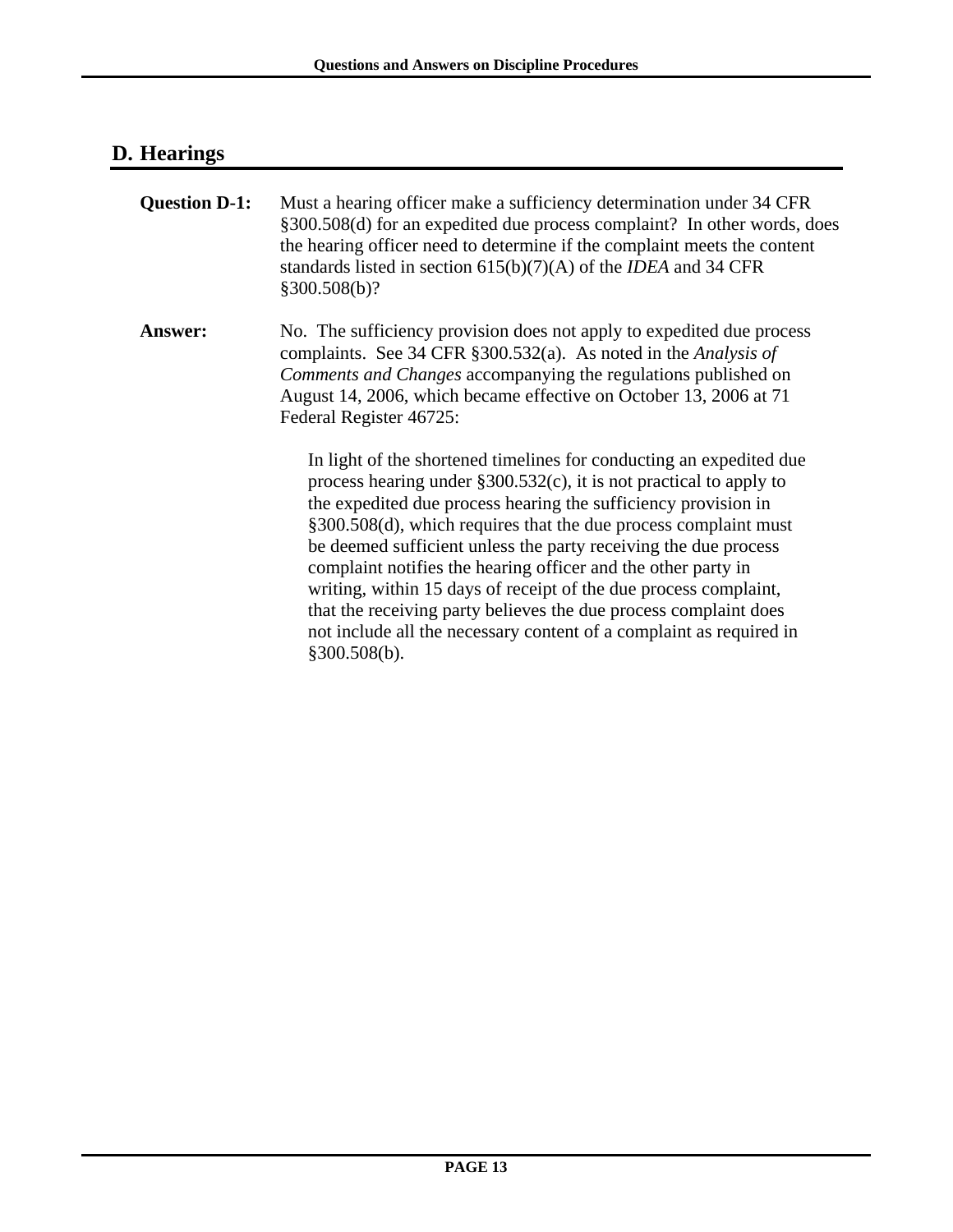# **D. Hearings**

| <b>Question D-1:</b> | Must a hearing officer make a sufficiency determination under 34 CFR<br>§300.508(d) for an expedited due process complaint? In other words, does<br>the hearing officer need to determine if the complaint meets the content<br>standards listed in section $615(b)(7)(A)$ of the <i>IDEA</i> and 34 CFR<br>§300.508(b)?                                                                                                                                                                                                                                                                                                                               |
|----------------------|--------------------------------------------------------------------------------------------------------------------------------------------------------------------------------------------------------------------------------------------------------------------------------------------------------------------------------------------------------------------------------------------------------------------------------------------------------------------------------------------------------------------------------------------------------------------------------------------------------------------------------------------------------|
| <b>Answer:</b>       | No. The sufficiency provision does not apply to expedited due process<br>complaints. See 34 CFR $\S 300.532(a)$ . As noted in the Analysis of<br>Comments and Changes accompanying the regulations published on<br>August 14, 2006, which became effective on October 13, 2006 at 71<br>Federal Register 46725:                                                                                                                                                                                                                                                                                                                                        |
|                      | In light of the shortened timelines for conducting an expedited due<br>process hearing under $\S 300.532(c)$ , it is not practical to apply to<br>the expedited due process hearing the sufficiency provision in<br>§300.508(d), which requires that the due process complaint must<br>be deemed sufficient unless the party receiving the due process<br>complaint notifies the hearing officer and the other party in<br>writing, within 15 days of receipt of the due process complaint,<br>that the receiving party believes the due process complaint does<br>not include all the necessary content of a complaint as required in<br>§300.508(b). |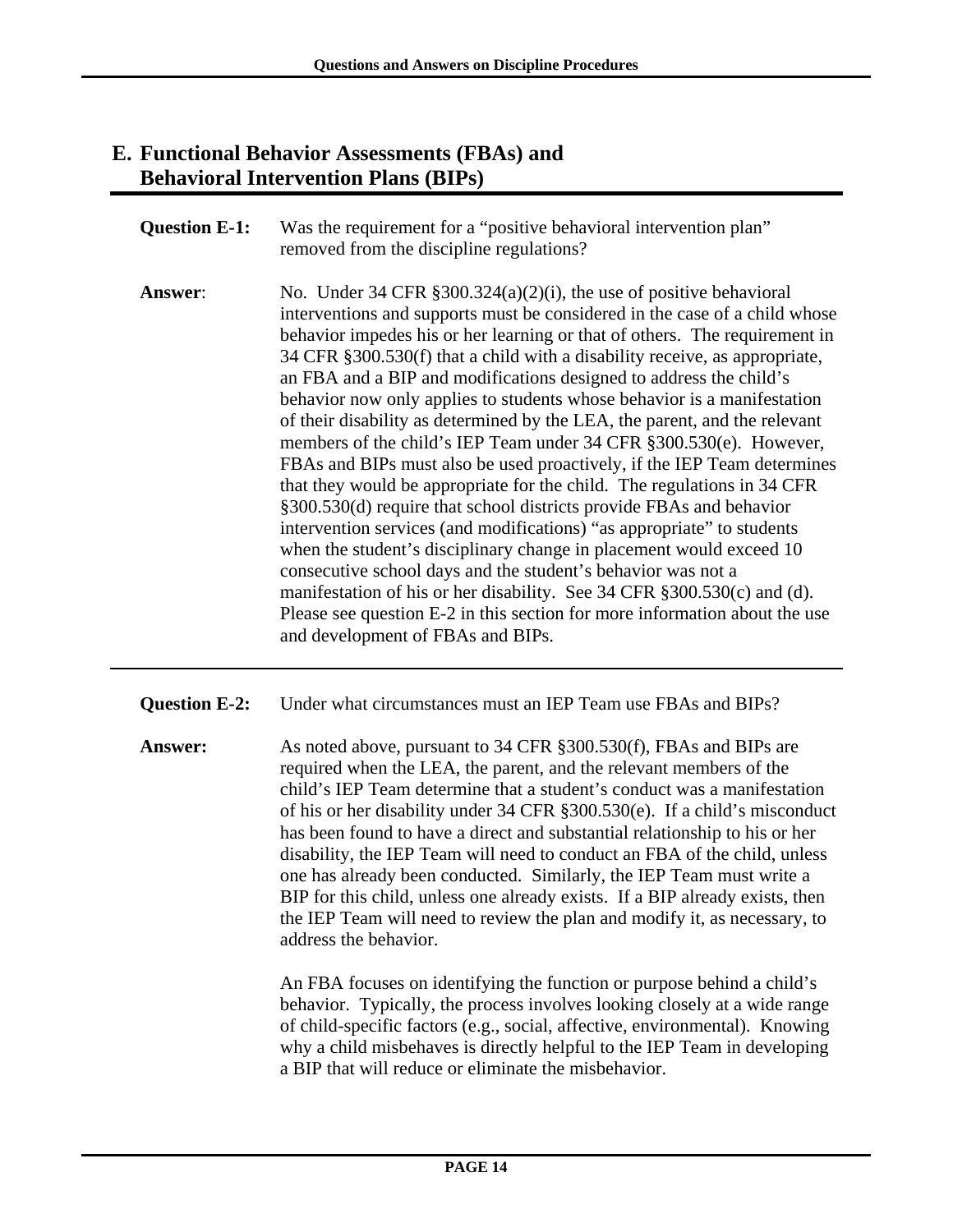### **E. Functional Behavior Assessments (FBAs) and Behavioral Intervention Plans (BIPs)**

- **Question E-1:** Was the requirement for a "positive behavioral intervention plan" removed from the discipline regulations?
- **Answer:** No. Under 34 CFR §300.324(a)(2)(i), the use of positive behavioral interventions and supports must be considered in the case of a child whose behavior impedes his or her learning or that of others. The requirement in 34 CFR §300.530(f) that a child with a disability receive, as appropriate, an FBA and a BIP and modifications designed to address the child's behavior now only applies to students whose behavior is a manifestation of their disability as determined by the LEA, the parent, and the relevant members of the child's IEP Team under 34 CFR §300.530(e). However, FBAs and BIPs must also be used proactively, if the IEP Team determines that they would be appropriate for the child. The regulations in 34 CFR §300.530(d) require that school districts provide FBAs and behavior intervention services (and modifications) "as appropriate" to students when the student's disciplinary change in placement would exceed 10 consecutive school days and the student's behavior was not a manifestation of his or her disability. See 34 CFR §300.530(c) and (d). Please see question E-2 in this section for more information about the use and development of FBAs and BIPs.
- **Question E-2:** Under what circumstances must an IEP Team use FBAs and BIPs?
- **Answer:** As noted above, pursuant to 34 CFR §300.530(f), FBAs and BIPs are required when the LEA, the parent, and the relevant members of the child's IEP Team determine that a student's conduct was a manifestation of his or her disability under 34 CFR §300.530(e).If a child's misconduct has been found to have a direct and substantial relationship to his or her disability, the IEP Team will need to conduct an FBA of the child, unless one has already been conducted. Similarly, the IEP Team must write a BIP for this child, unless one already exists. If a BIP already exists, then the IEP Team will need to review the plan and modify it, as necessary, to address the behavior.

An FBA focuses on identifying the function or purpose behind a child's behavior. Typically, the process involves looking closely at a wide range of child-specific factors (e.g., social, affective, environmental). Knowing why a child misbehaves is directly helpful to the IEP Team in developing a BIP that will reduce or eliminate the misbehavior.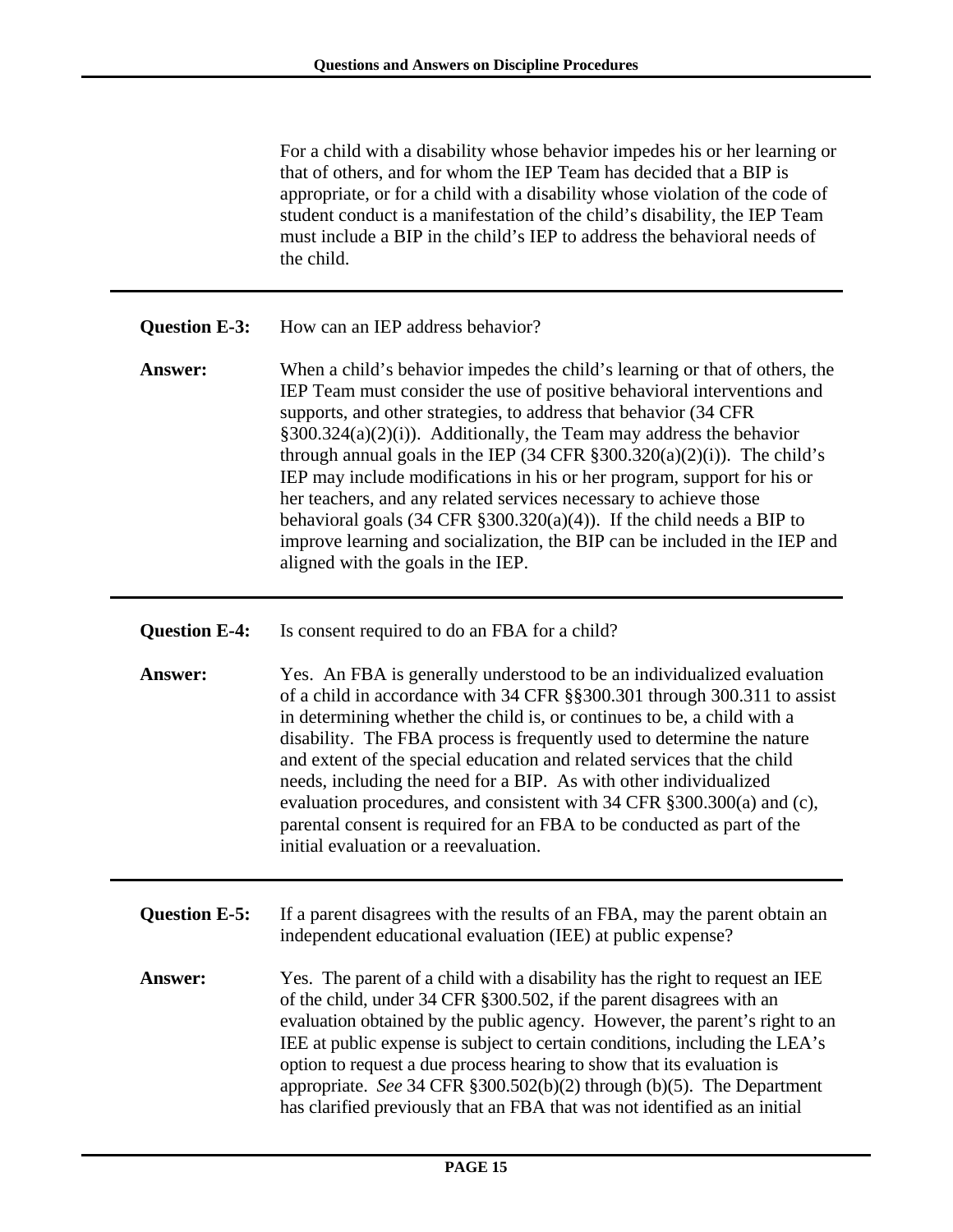For a child with a disability whose behavior impedes his or her learning or that of others, and for whom the IEP Team has decided that a BIP is appropriate, or for a child with a disability whose violation of the code of student conduct is a manifestation of the child's disability, the IEP Team must include a BIP in the child's IEP to address the behavioral needs of the child.

| Question E-3: | How can an IEP address behavior? |  |
|---------------|----------------------------------|--|
|               |                                  |  |

- **Answer:** When a child's behavior impedes the child's learning or that of others, the IEP Team must consider the use of positive behavioral interventions and supports, and other strategies, to address that behavior (34 CFR §300.324(a)(2)(i)). Additionally, the Team may address the behavior through annual goals in the IEP (34 CFR  $\S 300.320(a)(2)(i)$ ). The child's IEP may include modifications in his or her program, support for his or her teachers, and any related services necessary to achieve those behavioral goals  $(34 \text{ CFR } \S 300.320(a)(4))$ . If the child needs a BIP to improve learning and socialization, the BIP can be included in the IEP and aligned with the goals in the IEP.
- **Question E-4:** Is consent required to do an FBA for a child?
- **Answer:** Yes. An FBA is generally understood to be an individualized evaluation of a child in accordance with 34 CFR §§300.301 through 300.311 to assist in determining whether the child is, or continues to be, a child with a disability. The FBA process is frequently used to determine the nature and extent of the special education and related services that the child needs, including the need for a BIP. As with other individualized evaluation procedures, and consistent with 34 CFR §300.300(a) and (c), parental consent is required for an FBA to be conducted as part of the initial evaluation or a reevaluation.
- **Question E-5:** If a parent disagrees with the results of an FBA, may the parent obtain an independent educational evaluation (IEE) at public expense?
- **Answer:** Yes. The parent of a child with a disability has the right to request an IEE of the child, under 34 CFR §300.502, if the parent disagrees with an evaluation obtained by the public agency. However, the parent's right to an IEE at public expense is subject to certain conditions, including the LEA's option to request a due process hearing to show that its evaluation is appropriate. *See* 34 CFR §300.502(b)(2) through (b)(5). The Department has clarified previously that an FBA that was not identified as an initial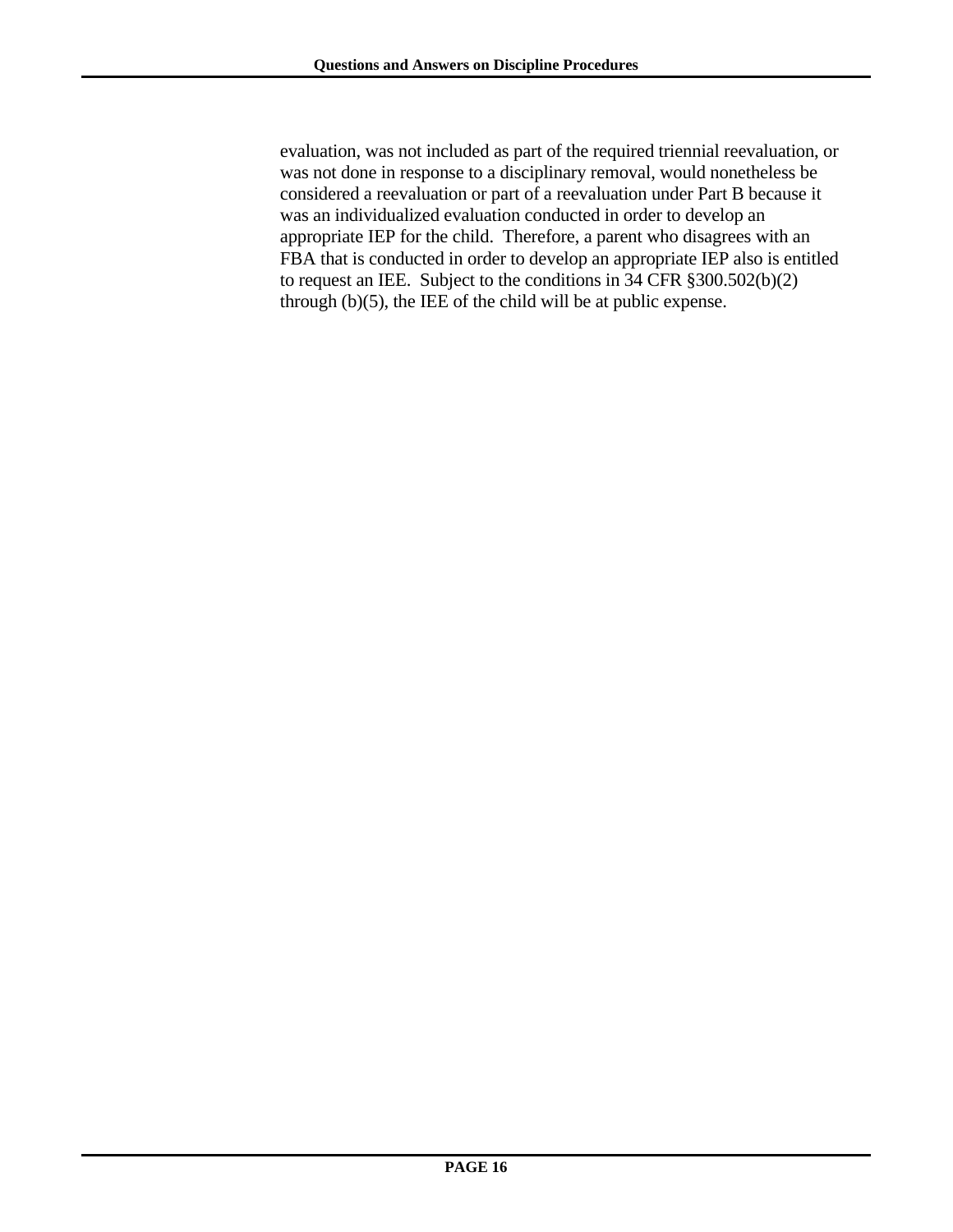evaluation, was not included as part of the required triennial reevaluation, or was not done in response to a disciplinary removal, would nonetheless be considered a reevaluation or part of a reevaluation under Part B because it was an individualized evaluation conducted in order to develop an appropriate IEP for the child. Therefore, a parent who disagrees with an FBA that is conducted in order to develop an appropriate IEP also is entitled to request an IEE. Subject to the conditions in 34 CFR §300.502(b)(2) through (b)(5), the IEE of the child will be at public expense.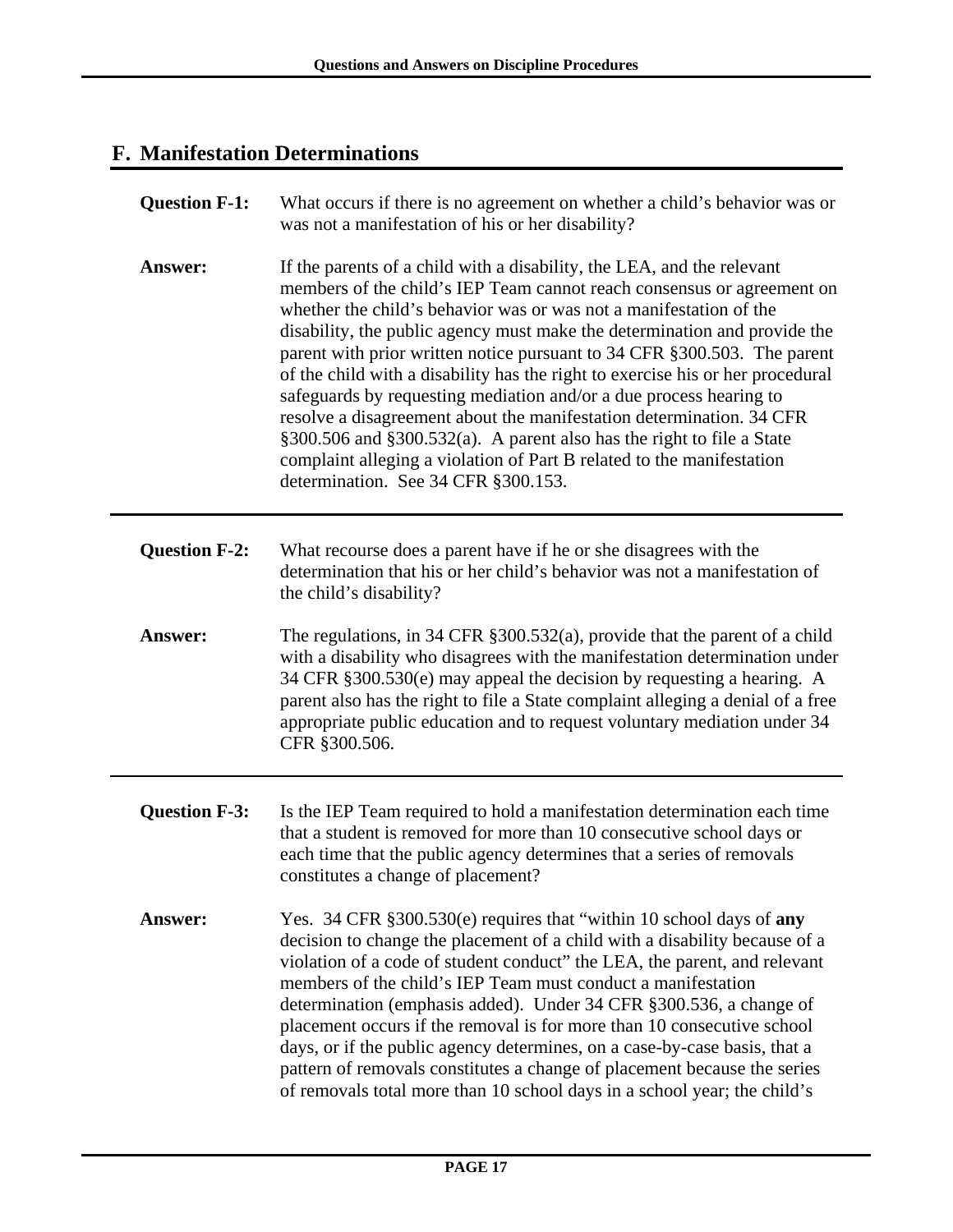# **F. Manifestation Determinations**

| <b>Question F-1:</b> | What occurs if there is no agreement on whether a child's behavior was or<br>was not a manifestation of his or her disability?                                                                                                                                                                                                                                                                                                                                                                                                                                                                                                                                                                                                                                                                           |
|----------------------|----------------------------------------------------------------------------------------------------------------------------------------------------------------------------------------------------------------------------------------------------------------------------------------------------------------------------------------------------------------------------------------------------------------------------------------------------------------------------------------------------------------------------------------------------------------------------------------------------------------------------------------------------------------------------------------------------------------------------------------------------------------------------------------------------------|
| Answer:              | If the parents of a child with a disability, the LEA, and the relevant<br>members of the child's IEP Team cannot reach consensus or agreement on<br>whether the child's behavior was or was not a manifestation of the<br>disability, the public agency must make the determination and provide the<br>parent with prior written notice pursuant to 34 CFR §300.503. The parent<br>of the child with a disability has the right to exercise his or her procedural<br>safeguards by requesting mediation and/or a due process hearing to<br>resolve a disagreement about the manifestation determination. 34 CFR<br>§300.506 and §300.532(a). A parent also has the right to file a State<br>complaint alleging a violation of Part B related to the manifestation<br>determination. See 34 CFR §300.153. |
| <b>Question F-2:</b> | What recourse does a parent have if he or she disagrees with the<br>determination that his or her child's behavior was not a manifestation of<br>the child's disability?                                                                                                                                                                                                                                                                                                                                                                                                                                                                                                                                                                                                                                 |
| <b>Answer:</b>       | The regulations, in 34 CFR $\S 300.532(a)$ , provide that the parent of a child<br>with a disability who disagrees with the manifestation determination under<br>34 CFR §300.530(e) may appeal the decision by requesting a hearing. A<br>parent also has the right to file a State complaint alleging a denial of a free<br>appropriate public education and to request voluntary mediation under 34<br>CFR §300.506.                                                                                                                                                                                                                                                                                                                                                                                   |
| <b>Question F-3:</b> | Is the IEP Team required to hold a manifestation determination each time<br>that a student is removed for more than 10 consecutive school days or<br>each time that the public agency determines that a series of removals<br>constitutes a change of placement?                                                                                                                                                                                                                                                                                                                                                                                                                                                                                                                                         |
| <b>Answer:</b>       | Yes. 34 CFR §300.530(e) requires that "within 10 school days of any<br>decision to change the placement of a child with a disability because of a<br>violation of a code of student conduct" the LEA, the parent, and relevant<br>members of the child's IEP Team must conduct a manifestation<br>determination (emphasis added). Under 34 CFR §300.536, a change of<br>placement occurs if the removal is for more than 10 consecutive school<br>days, or if the public agency determines, on a case-by-case basis, that a<br>pattern of removals constitutes a change of placement because the series<br>of removals total more than 10 school days in a school year; the child's                                                                                                                      |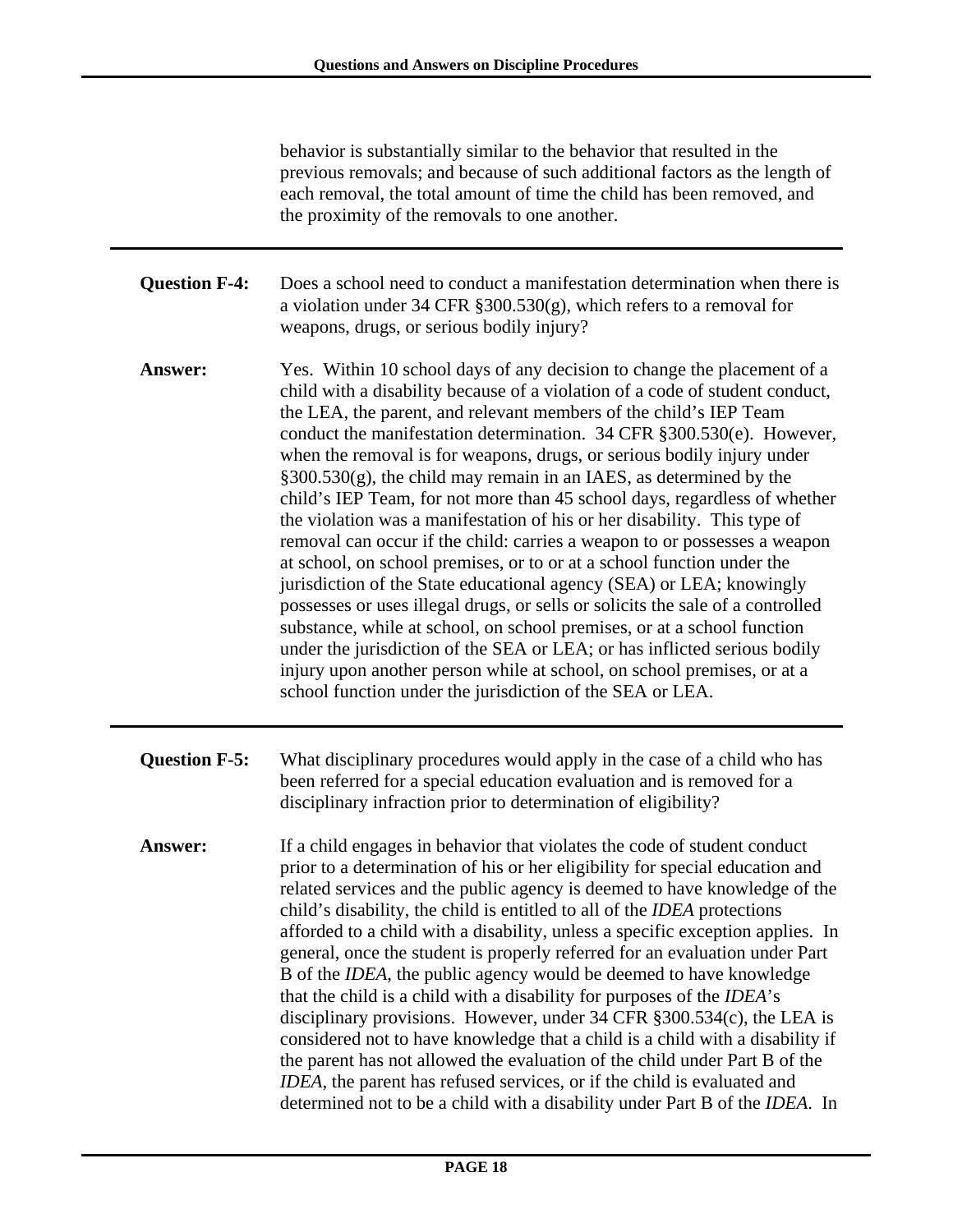behavior is substantially similar to the behavior that resulted in the previous removals; and because of such additional factors as the length of each removal, the total amount of time the child has been removed, and the proximity of the removals to one another.

- **Question F-4:** Does a school need to conduct a manifestation determination when there is a violation under 34 CFR §300.530(g), which refers to a removal for weapons, drugs, or serious bodily injury?
- **Answer:** Yes. Within 10 school days of any decision to change the placement of a child with a disability because of a violation of a code of student conduct, the LEA, the parent, and relevant members of the child's IEP Team conduct the manifestation determination. 34 CFR §300.530(e). However, when the removal is for weapons, drugs, or serious bodily injury under  $§300.530(g)$ , the child may remain in an IAES, as determined by the child's IEP Team, for not more than 45 school days, regardless of whether the violation was a manifestation of his or her disability. This type of removal can occur if the child: carries a weapon to or possesses a weapon at school, on school premises, or to or at a school function under the jurisdiction of the State educational agency (SEA) or LEA; knowingly possesses or uses illegal drugs, or sells or solicits the sale of a controlled substance, while at school, on school premises, or at a school function under the jurisdiction of the SEA or LEA; or has inflicted serious bodily injury upon another person while at school, on school premises, or at a school function under the jurisdiction of the SEA or LEA.
- **Question F-5:** What disciplinary procedures would apply in the case of a child who has been referred for a special education evaluation and is removed for a disciplinary infraction prior to determination of eligibility?
- **Answer:** If a child engages in behavior that violates the code of student conduct prior to a determination of his or her eligibility for special education and related services and the public agency is deemed to have knowledge of the child's disability, the child is entitled to all of the *IDEA* protections afforded to a child with a disability, unless a specific exception applies. In general, once the student is properly referred for an evaluation under Part B of the *IDEA*, the public agency would be deemed to have knowledge that the child is a child with a disability for purposes of the *IDEA*'s disciplinary provisions. However, under 34 CFR §300.534(c), the LEA is considered not to have knowledge that a child is a child with a disability if the parent has not allowed the evaluation of the child under Part B of the *IDEA*, the parent has refused services, or if the child is evaluated and determined not to be a child with a disability under Part B of the *IDEA*. In